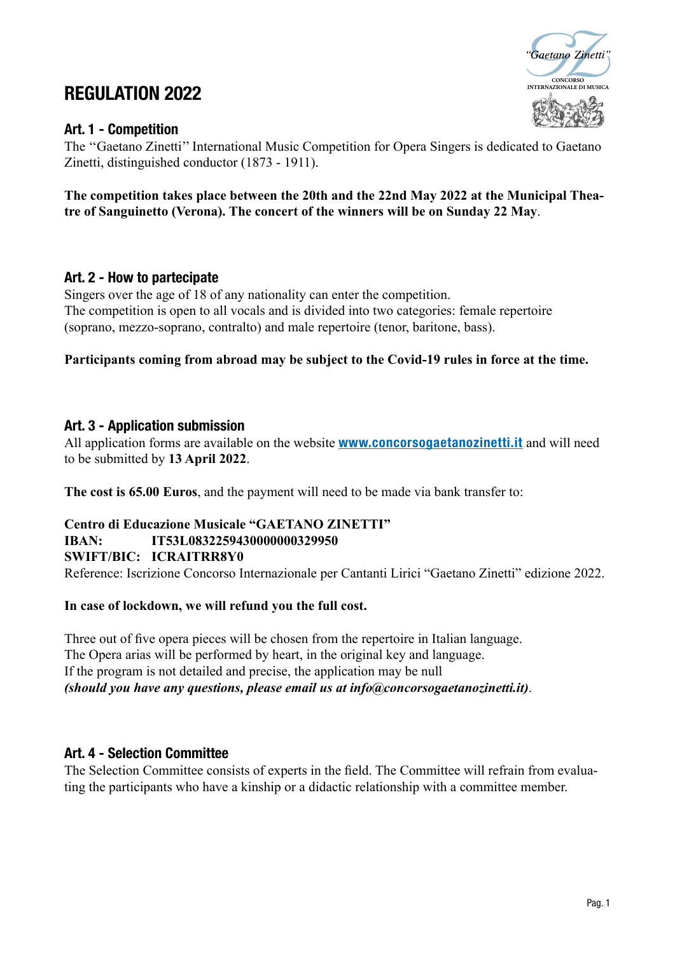# **INTERNATION 2022**

# Art. 1 - Competition



The ''Gaetano Zinetti'' International Music Competition for Opera Singers is dedicated to Gaetano Zinetti, distinguished conductor (1873 - 1911).

#### **The competition takes place between the 20th and the 22nd May 2022 at the Municipal Theatre of Sanguinetto (Verona). The concert of the winners will be on Sunday 22 May**.

#### Art. 2 - How to partecipate

Singers over the age of 18 of any nationality can enter the competition. The competition is open to all vocals and is divided into two categories: female repertoire (soprano, mezzo-soprano, contralto) and male repertoire (tenor, baritone, bass).

#### **Participants coming from abroad may be subject to the Covid-19 rules in force at the time.**

#### Art. 3 - Application submission

All application forms are available on the website **www.concorsogaetanozinetti.it** and will need to be submitted by **13 April 2022**.

**The cost is 65.00 Euros**, and the payment will need to be made via bank transfer to:

# **Centro di Educazione Musicale "GAETANO ZINETTI"**

# **IBAN: IT53L0832259430000000329950**

**SWIFT/BIC: ICRAITRR8Y0**

Reference: Iscrizione Concorso Internazionale per Cantanti Lirici "Gaetano Zinetti" edizione 2022.

#### **In case of lockdown, we will refund you the full cost.**

Three out of five opera pieces will be chosen from the repertoire in Italian language. The Opera arias will be performed by heart, in the original key and language. If the program is not detailed and precise, the application may be null *(should you have any questions, please email us at info@concorsogaetanozinetti.it)*.

#### Art. 4 - Selection Committee

The Selection Committee consists of experts in the field. The Committee will refrain from evaluating the participants who have a kinship or a didactic relationship with a committee member.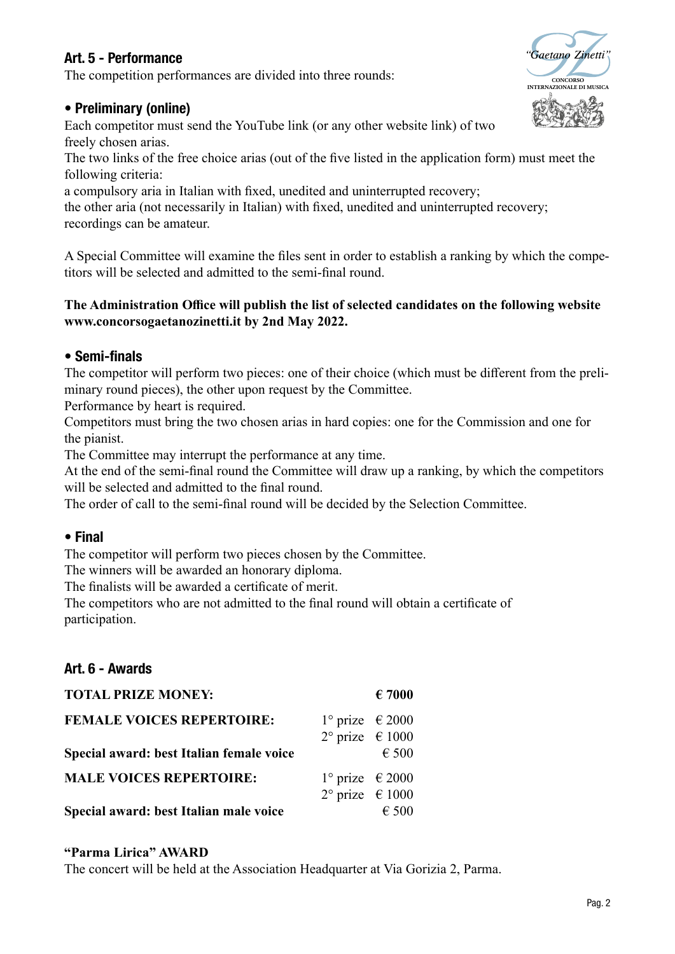# Art. 5 - Performance

The competition performances are divided into three rounds:

# • Preliminary (online)

Each competitor must send the YouTube link (or any other website link) of two freely chosen arias.

The two links of the free choice arias (out of the five listed in the application form) must meet the following criteria:

a compulsory aria in Italian with fixed, unedited and uninterrupted recovery;

the other aria (not necessarily in Italian) with fixed, unedited and uninterrupted recovery; recordings can be amateur.

A Special Committee will examine the files sent in order to establish a ranking by which the competitors will be selected and admitted to the semi-final round.

#### **The Administration Office will publish the list of selected candidates on the following website www.concorsogaetanozinetti.it by 2nd May 2022.**

# • Semi-finals

The competitor will perform two pieces: one of their choice (which must be different from the preliminary round pieces), the other upon request by the Committee.

Performance by heart is required.

Competitors must bring the two chosen arias in hard copies: one for the Commission and one for the pianist.

The Committee may interrupt the performance at any time.

At the end of the semi-final round the Committee will draw up a ranking, by which the competitors will be selected and admitted to the final round.

The order of call to the semi-final round will be decided by the Selection Committee.

# • Final

The competitor will perform two pieces chosen by the Committee.

The winners will be awarded an honorary diploma.

The finalists will be awarded a certificate of merit.

The competitors who are not admitted to the final round will obtain a certificate of participation.

# Art. 6 - Awards

| <b>TOTAL PRIZE MONEY:</b>                                                    |                                                                        | $\epsilon$ 7000 |
|------------------------------------------------------------------------------|------------------------------------------------------------------------|-----------------|
| <b>FEMALE VOICES REPERTOIRE:</b><br>Special award: best Italian female voice | $1^{\circ}$ prize $\epsilon$ 2000<br>$2^{\circ}$ prize $\epsilon$ 1000 | $\epsilon$ 500  |
| <b>MALE VOICES REPERTOIRE:</b>                                               | $1^{\circ}$ prize $\epsilon$ 2000<br>$2^{\circ}$ prize $\epsilon$ 1000 |                 |
| Special award: best Italian male voice                                       |                                                                        | $\epsilon$ 500  |

#### **"Parma Lirica" AWARD**

The concert will be held at the Association Headquarter at Via Gorizia 2, Parma.